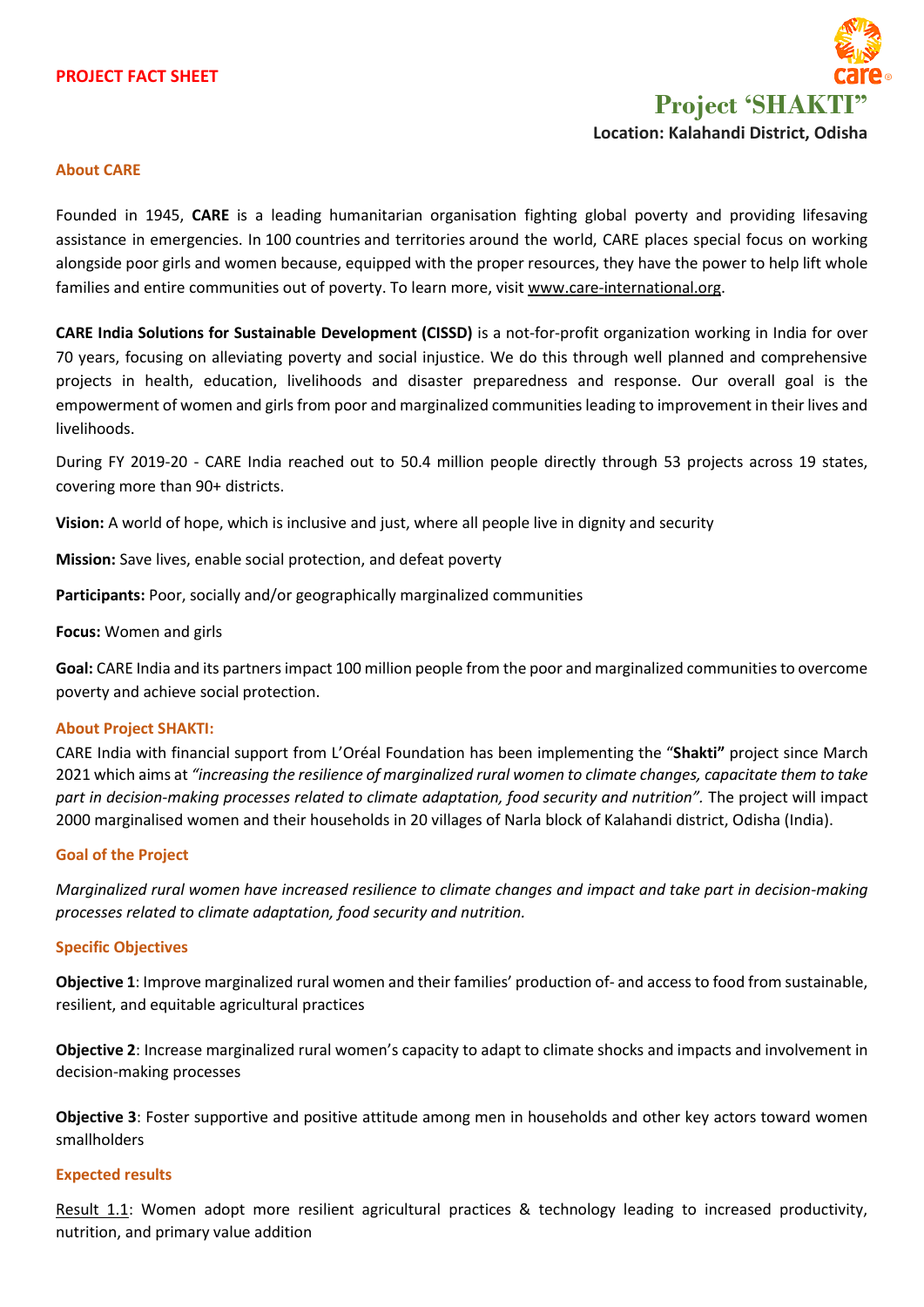

### **About CARE**

Founded in 1945, **CARE** is a leading humanitarian organisation fighting global poverty and providing lifesaving assistance in emergencies. In 100 countries and territories around the world, CARE places special focus on working alongside poor girls and women because, equipped with the proper resources, they have the power to help lift whole families and entire communities out of poverty. To learn more, visit [www.care-international.org.](https://www.care-international.org/)

**CARE India Solutions for Sustainable Development (CISSD)** is a not-for-profit organization working in India for over 70 years, focusing on alleviating poverty and social injustice. We do this through well planned and comprehensive projects in health, education, livelihoods and disaster preparedness and response. Our overall goal is the empowerment of women and girls from poor and marginalized communities leading to improvement in their lives and livelihoods.

During FY 2019-20 - CARE India reached out to 50.4 million people directly through 53 projects across 19 states, covering more than 90+ districts.

**Vision:** A world of hope, which is inclusive and just, where all people live in dignity and security

**Mission:** Save lives, enable social protection, and defeat poverty

**Participants:** Poor, socially and/or geographically marginalized communities

**Focus:** Women and girls

**Goal:** CARE India and its partners impact 100 million people from the poor and marginalized communities to overcome poverty and achieve social protection.

### **About Project SHAKTI:**

CARE India with financial support from L'Oréal Foundation has been implementing the "**Shakti"** project since March 2021 which aims at *"increasing the resilience of marginalized rural women to climate changes, capacitate them to take part in decision-making processes related to climate adaptation, food security and nutrition".* The project will impact 2000 marginalised women and their households in 20 villages of Narla block of Kalahandi district, Odisha (India).

### **Goal of the Project**

*Marginalized rural women have increased resilience to climate changes and impact and take part in decision-making processes related to climate adaptation, food security and nutrition.*

### **Specific Objectives**

**Objective 1**: Improve marginalized rural women and their families' production of- and access to food from sustainable, resilient, and equitable agricultural practices

**Objective 2**: Increase marginalized rural women's capacity to adapt to climate shocks and impacts and involvement in decision-making processes

**Objective 3**: Foster supportive and positive attitude among men in households and other key actors toward women smallholders

### **Expected results**

Result 1.1: Women adopt more resilient agricultural practices & technology leading to increased productivity, nutrition, and primary value addition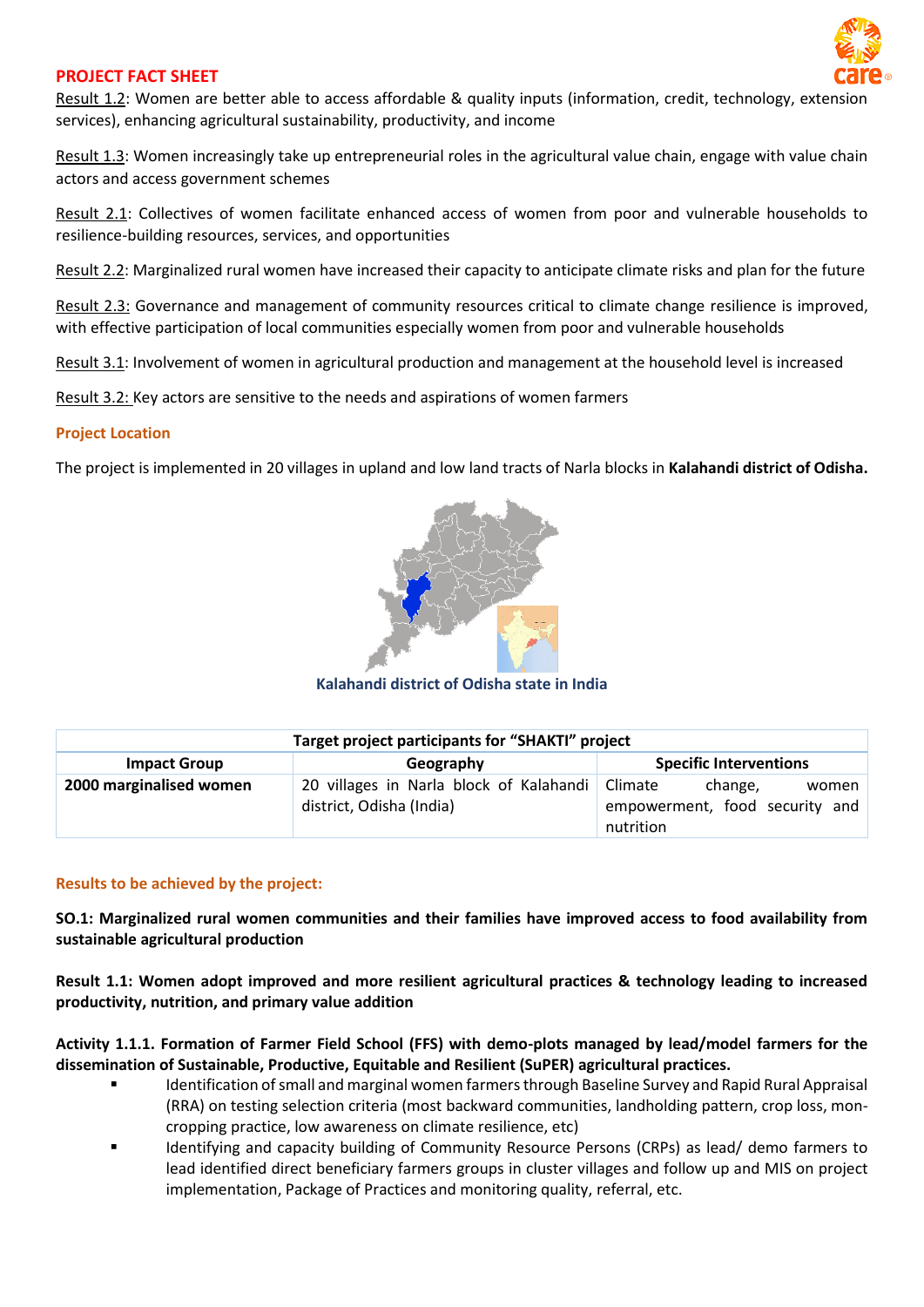

Result 1.2: Women are better able to access affordable & quality inputs (information, credit, technology, extensio services), enhancing agricultural sustainability, productivity, and income

Result 1.3: Women increasingly take up entrepreneurial roles in the agricultural value chain, engage with value chain actors and access government schemes

Result 2.1: Collectives of women facilitate enhanced access of women from poor and vulnerable households to resilience-building resources, services, and opportunities

Result 2.2: Marginalized rural women have increased their capacity to anticipate climate risks and plan for the future

Result 2.3: Governance and management of community resources critical to climate change resilience is improved, with effective participation of local communities especially women from poor and vulnerable households

Result 3.1: Involvement of women in agricultural production and management at the household level is increased

Result 3.2: Key actors are sensitive to the needs and aspirations of women farmers

### **Project Location**

The project is implemented in 20 villages in upland and low land tracts of Narla blocks in **Kalahandi district of Odisha.** 



**Kalahandi district of Odisha state in India**

| Target project participants for "SHAKTI" project |                                                                     |                                                                            |
|--------------------------------------------------|---------------------------------------------------------------------|----------------------------------------------------------------------------|
| <b>Impact Group</b>                              | Geography                                                           | <b>Specific Interventions</b>                                              |
| 2000 marginalised women                          | 20 villages in Narla block of Kalahandi<br>district, Odisha (India) | Climate<br>change,<br>women<br>empowerment, food security and<br>nutrition |

### **Results to be achieved by the project:**

**SO.1: Marginalized rural women communities and their families have improved access to food availability from sustainable agricultural production** 

**Result 1.1: Women adopt improved and more resilient agricultural practices & technology leading to increased productivity, nutrition, and primary value addition**

**Activity 1.1.1. Formation of Farmer Field School (FFS) with demo-plots managed by lead/model farmers for the dissemination of Sustainable, Productive, Equitable and Resilient (SuPER) agricultural practices.**

- Identification of small and marginal women farmers through Baseline Survey and Rapid Rural Appraisal (RRA) on testing selection criteria (most backward communities, landholding pattern, crop loss, moncropping practice, low awareness on climate resilience, etc)
- Identifying and capacity building of Community Resource Persons (CRPs) as lead/ demo farmers to lead identified direct beneficiary farmers groups in cluster villages and follow up and MIS on project implementation, Package of Practices and monitoring quality, referral, etc.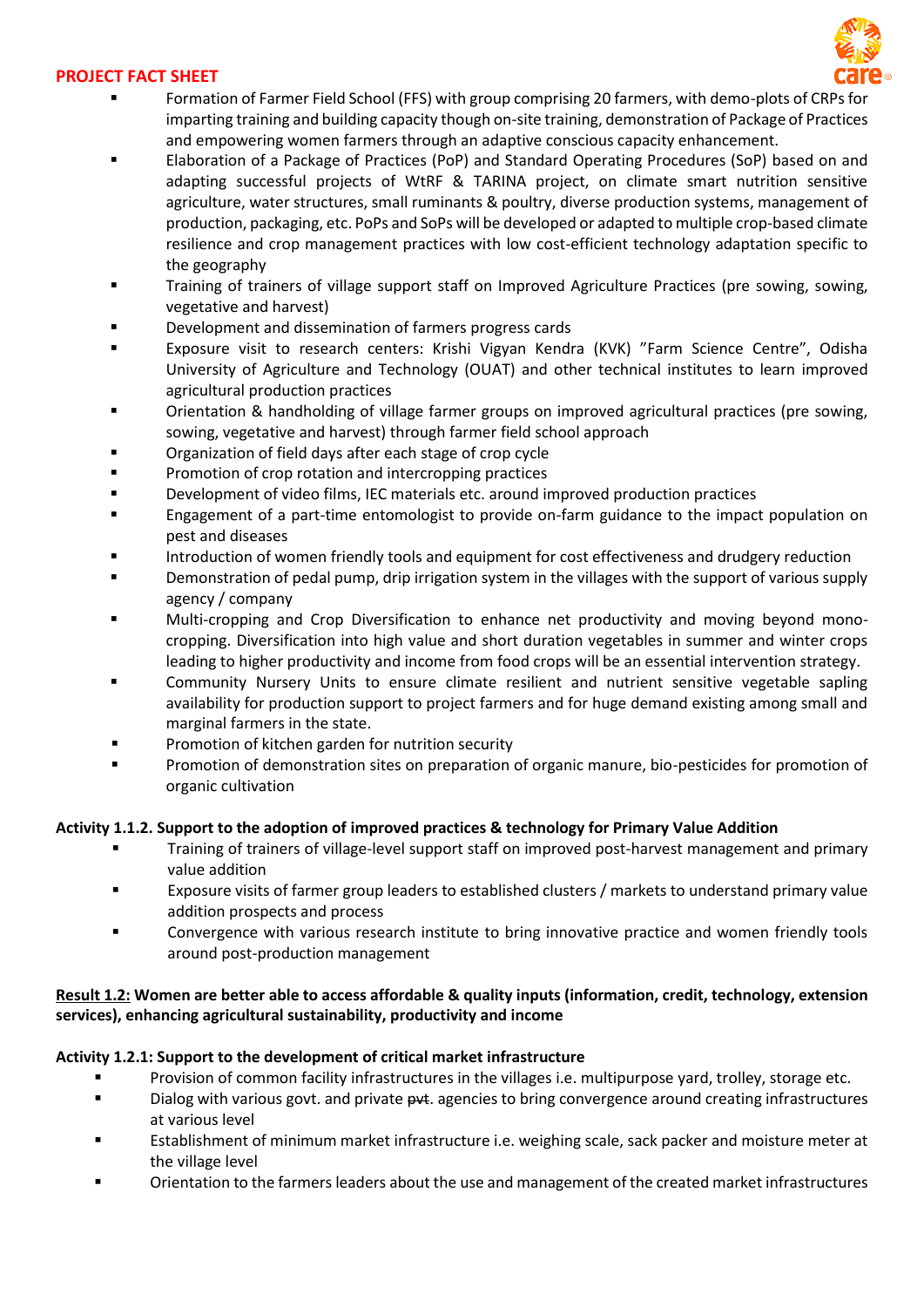

- Formation of Farmer Field School (FFS) with group comprising 20 farmers, with demo-plots of CRPs for imparting training and building capacity though on-site training, demonstration of Package of Practices and empowering women farmers through an adaptive conscious capacity enhancement.
- Elaboration of a Package of Practices (PoP) and Standard Operating Procedures (SoP) based on and adapting successful projects of WtRF & TARINA project, on climate smart nutrition sensitive agriculture, water structures, small ruminants & poultry, diverse production systems, management of production, packaging, etc. PoPs and SoPs will be developed or adapted to multiple crop-based climate resilience and crop management practices with low cost-efficient technology adaptation specific to the geography
- Training of trainers of village support staff on Improved Agriculture Practices (pre sowing, sowing, vegetative and harvest)
- Development and dissemination of farmers progress cards
- Exposure visit to research centers: Krishi Vigyan Kendra (KVK) "Farm Science Centre", Odisha University of Agriculture and Technology (OUAT) and other technical institutes to learn improved agricultural production practices
- Orientation & handholding of village farmer groups on improved agricultural practices (pre sowing, sowing, vegetative and harvest) through farmer field school approach
- Organization of field days after each stage of crop cycle
- Promotion of crop rotation and intercropping practices
- Development of video films, IEC materials etc. around improved production practices
- Engagement of a part-time entomologist to provide on-farm guidance to the impact population on pest and diseases
- Introduction of women friendly tools and equipment for cost effectiveness and drudgery reduction
- Demonstration of pedal pump, drip irrigation system in the villages with the support of various supply agency / company
- Multi-cropping and Crop Diversification to enhance net productivity and moving beyond monocropping. Diversification into high value and short duration vegetables in summer and winter crops leading to higher productivity and income from food crops will be an essential intervention strategy.
- Community Nursery Units to ensure climate resilient and nutrient sensitive vegetable sapling availability for production support to project farmers and for huge demand existing among small and marginal farmers in the state.
- Promotion of kitchen garden for nutrition security
- Promotion of demonstration sites on preparation of organic manure, bio-pesticides for promotion of organic cultivation

# **Activity 1.1.2. Support to the adoption of improved practices & technology for Primary Value Addition**

- Training of trainers of village-level support staff on improved post-harvest management and primary value addition
- Exposure visits of farmer group leaders to established clusters / markets to understand primary value addition prospects and process
- Convergence with various research institute to bring innovative practice and women friendly tools around post-production management

# **Result 1.2: Women are better able to access affordable & quality inputs (information, credit, technology, extension services), enhancing agricultural sustainability, productivity and income**

# **Activity 1.2.1: Support to the development of critical market infrastructure**

- Provision of common facility infrastructures in the villages i.e. multipurpose yard, trolley, storage etc.
- Dialog with various govt. and private pvt. agencies to bring convergence around creating infrastructures at various level
- Establishment of minimum market infrastructure i.e. weighing scale, sack packer and moisture meter at the village level
- Orientation to the farmers leaders about the use and management of the created market infrastructures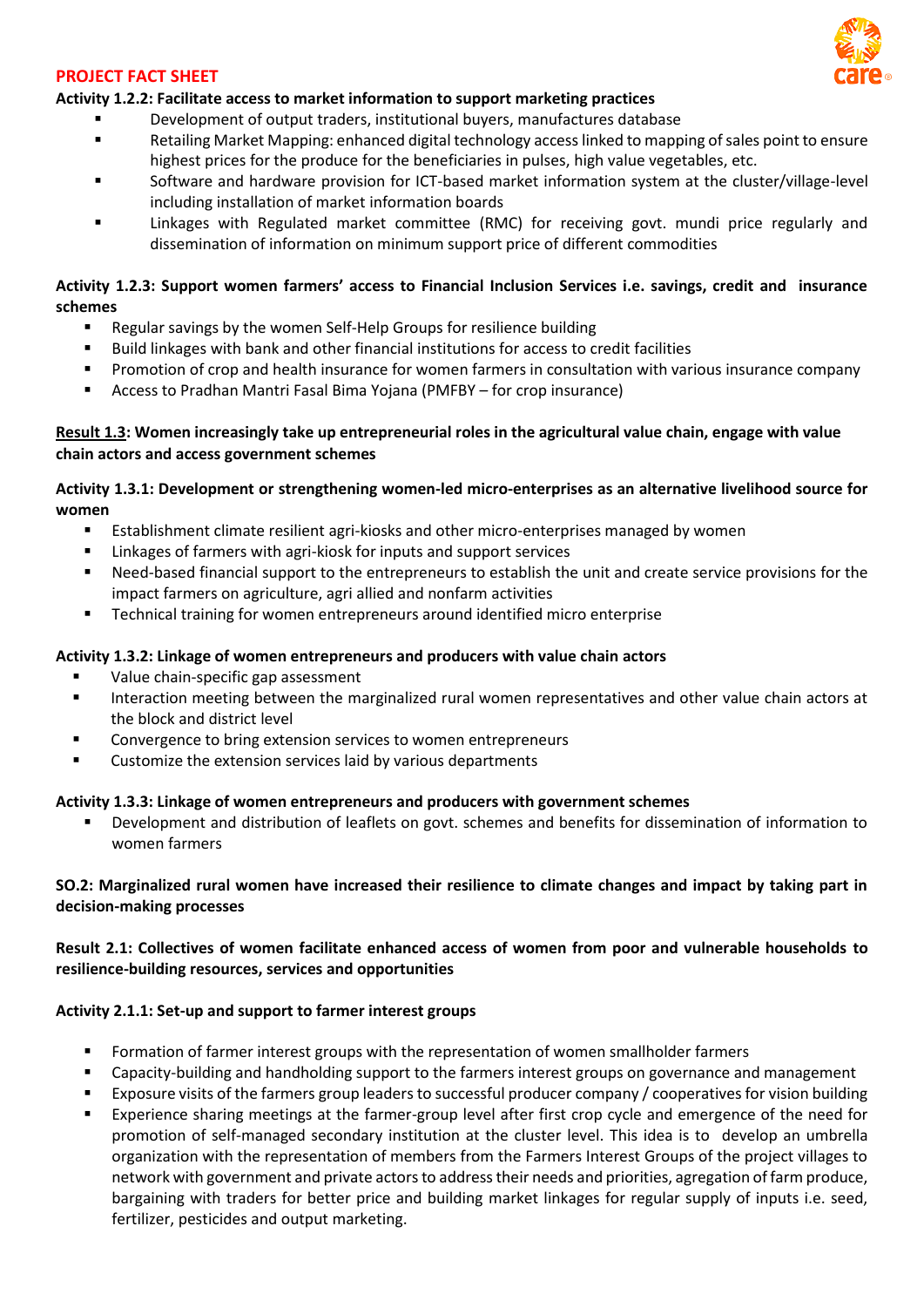

### **Activity 1.2.2: Facilitate access to market information to support marketing practices**

- Development of output traders, institutional buyers, manufactures database
- Retailing Market Mapping: enhanced digital technology access linked to mapping of sales point to ensure highest prices for the produce for the beneficiaries in pulses, high value vegetables, etc.
- Software and hardware provision for ICT-based market information system at the cluster/village-level including installation of market information boards
- Linkages with Regulated market committee (RMC) for receiving govt. mundi price regularly and dissemination of information on minimum support price of different commodities

# **Activity 1.2.3: Support women farmers' access to Financial Inclusion Services i.e. savings, credit and insurance schemes**

- Regular savings by the women Self-Help Groups for resilience building
- Build linkages with bank and other financial institutions for access to credit facilities
- Promotion of crop and health insurance for women farmers in consultation with various insurance company
- Access to Pradhan Mantri Fasal Bima Yojana (PMFBY for crop insurance)

# **Result 1.3: Women increasingly take up entrepreneurial roles in the agricultural value chain, engage with value chain actors and access government schemes**

# **Activity 1.3.1: Development or strengthening women-led micro-enterprises as an alternative livelihood source for women**

- **Establishment climate resilient agri-kiosks and other micro-enterprises managed by women**
- Linkages of farmers with agri-kiosk for inputs and support services
- Need-based financial support to the entrepreneurs to establish the unit and create service provisions for the impact farmers on agriculture, agri allied and nonfarm activities
- Technical training for women entrepreneurs around identified micro enterprise

# **Activity 1.3.2: Linkage of women entrepreneurs and producers with value chain actors**

- Value chain-specific gap assessment
- Interaction meeting between the marginalized rural women representatives and other value chain actors at the block and district level
- Convergence to bring extension services to women entrepreneurs
- Customize the extension services laid by various departments

# **Activity 1.3.3: Linkage of women entrepreneurs and producers with government schemes**

Development and distribution of leaflets on govt. schemes and benefits for dissemination of information to women farmers

# **SO.2: Marginalized rural women have increased their resilience to climate changes and impact by taking part in decision-making processes**

# **Result 2.1: Collectives of women facilitate enhanced access of women from poor and vulnerable households to resilience-building resources, services and opportunities**

# **Activity 2.1.1: Set-up and support to farmer interest groups**

- Formation of farmer interest groups with the representation of women smallholder farmers
- Capacity-building and handholding support to the farmers interest groups on governance and management
- Exposure visits of the farmers group leaders to successful producer company / cooperatives for vision building
- Experience sharing meetings at the farmer-group level after first crop cycle and emergence of the need for promotion of self-managed secondary institution at the cluster level. This idea is to develop an umbrella organization with the representation of members from the Farmers Interest Groups of the project villages to network with government and private actors to address their needs and priorities, agregation of farm produce, bargaining with traders for better price and building market linkages for regular supply of inputs i.e. seed, fertilizer, pesticides and output marketing.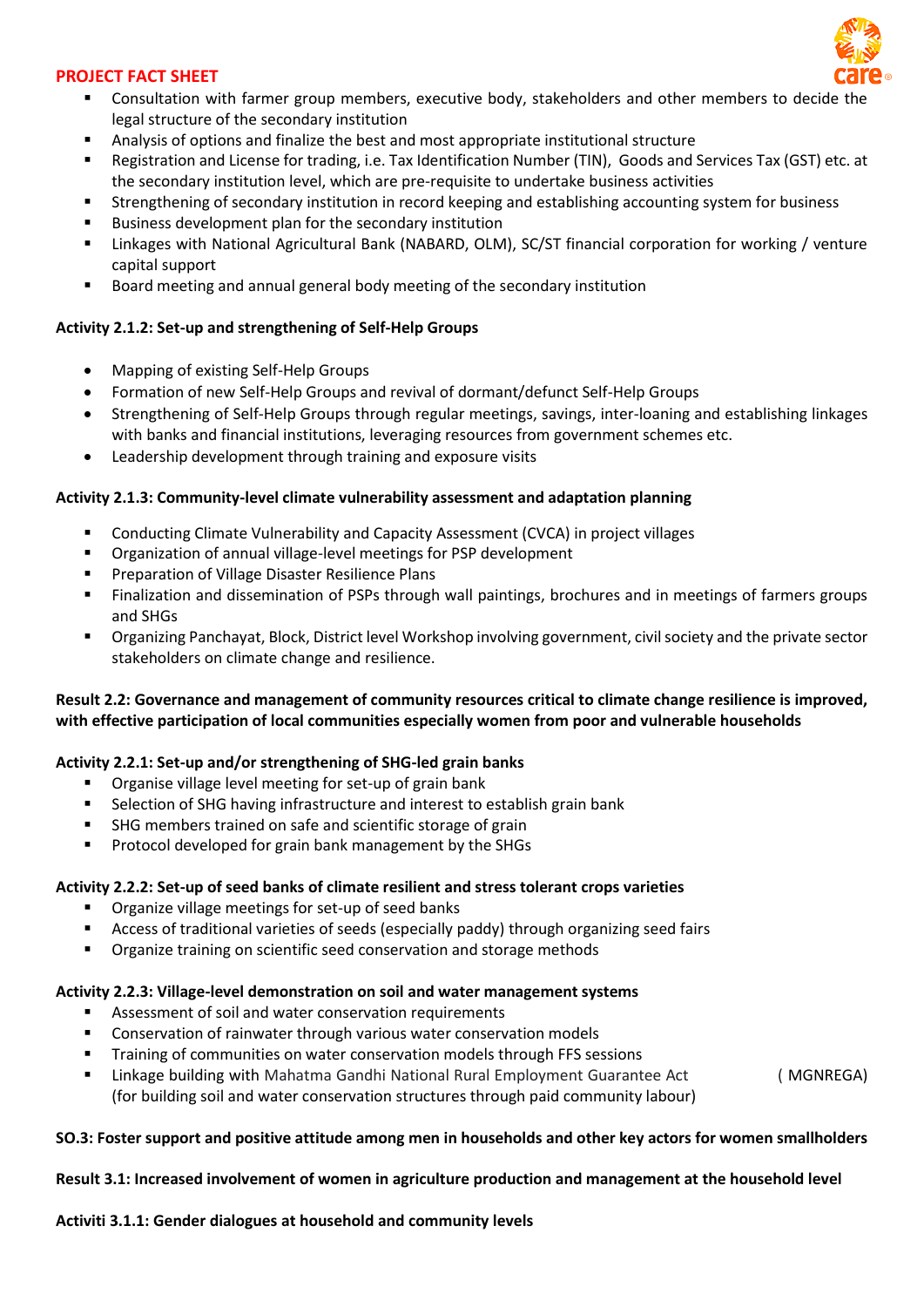- **•** Consultation with farmer group members, executive body, stakeholders and other members to decide the legal structure of the secondary institution
- Analysis of options and finalize the best and most appropriate institutional structure
- Registration and License for trading, i.e. Tax Identification Number (TIN), Goods and Services Tax (GST) etc. at the secondary institution level, which are pre-requisite to undertake business activities
- Strengthening of secondary institution in record keeping and establishing accounting system for business
- Business development plan for the secondary institution
- Linkages with National Agricultural Bank (NABARD, OLM), SC/ST financial corporation for working / venture capital support
- Board meeting and annual general body meeting of the secondary institution

# **Activity 2.1.2: Set-up and strengthening of Self-Help Groups**

- Mapping of existing Self-Help Groups
- Formation of new Self-Help Groups and revival of dormant/defunct Self-Help Groups
- Strengthening of Self-Help Groups through regular meetings, savings, inter-loaning and establishing linkages with banks and financial institutions, leveraging resources from government schemes etc.
- Leadership development through training and exposure visits

### **Activity 2.1.3: Community-level climate vulnerability assessment and adaptation planning**

- Conducting Climate Vulnerability and Capacity Assessment (CVCA) in project villages
- Organization of annual village-level meetings for PSP development
- Preparation of Village Disaster Resilience Plans
- Finalization and dissemination of PSPs through wall paintings, brochures and in meetings of farmers groups and SHGs
- Organizing Panchayat, Block, District level Workshop involving government, civil society and the private sector stakeholders on climate change and resilience.

# **Result 2.2: Governance and management of community resources critical to climate change resilience is improved, with effective participation of local communities especially women from poor and vulnerable households**

### **Activity 2.2.1: Set-up and/or strengthening of SHG-led grain banks**

- Organise village level meeting for set-up of grain bank
- Selection of SHG having infrastructure and interest to establish grain bank
- SHG members trained on safe and scientific storage of grain
- Protocol developed for grain bank management by the SHGs

### **Activity 2.2.2: Set-up of seed banks of climate resilient and stress tolerant crops varieties**

- Organize village meetings for set-up of seed banks
- Access of traditional varieties of seeds (especially paddy) through organizing seed fairs
- Organize training on scientific seed conservation and storage methods

### **Activity 2.2.3: Village-level demonstration on soil and water management systems**

- Assessment of soil and water conservation requirements
- Conservation of rainwater through various water conservation models
- Training of communities on water conservation models through FFS sessions
- Linkage building with Mahatma Gandhi National Rural Employment Guarantee Act (MGNREGA) (for building soil and water conservation structures through paid community labour)

# **SO.3: Foster support and positive attitude among men in households and other key actors for women smallholders**

### **Result 3.1: Increased involvement of women in agriculture production and management at the household level**

### **Activiti 3.1.1: Gender dialogues at household and community levels**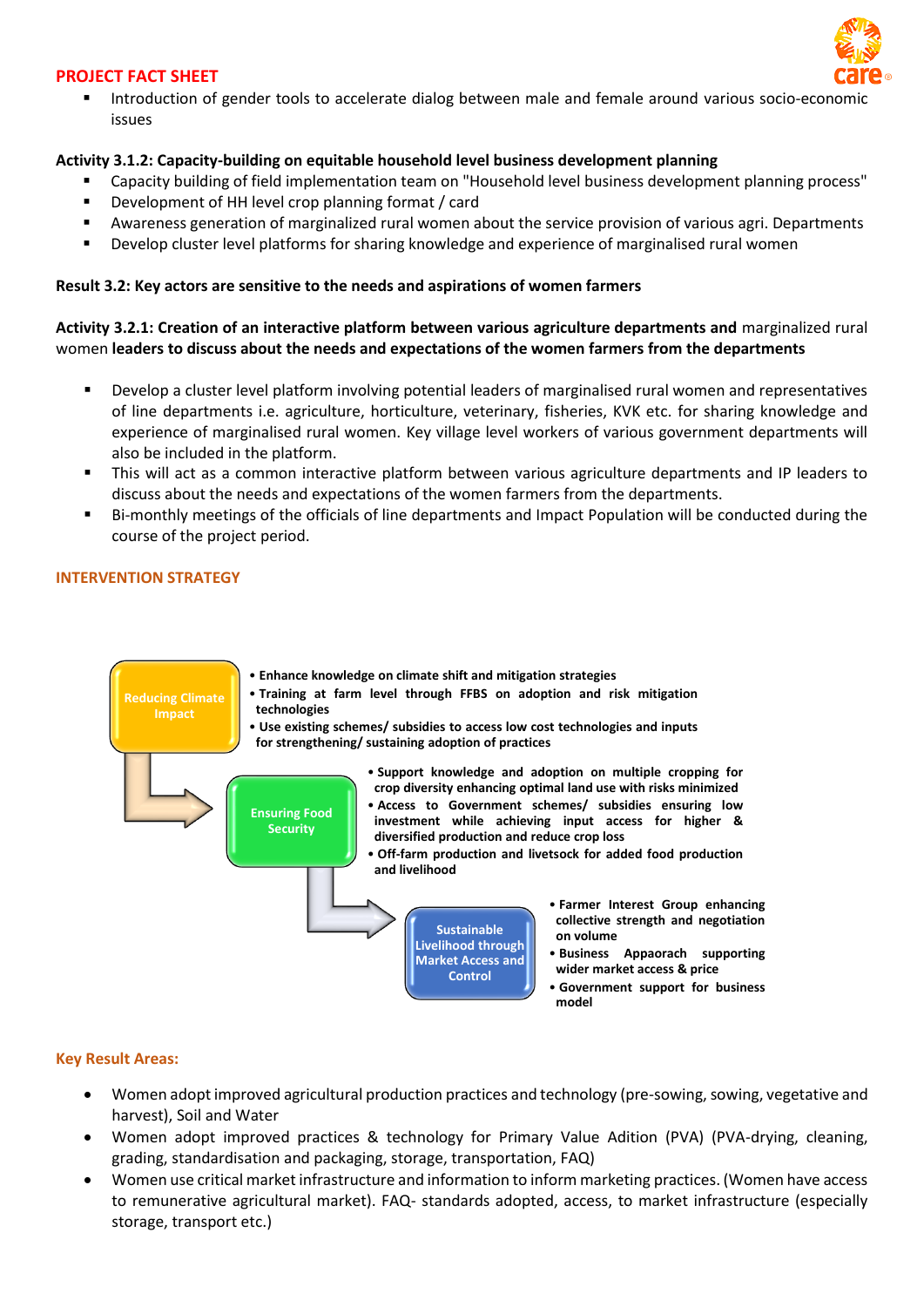

**■** Introduction of gender tools to accelerate dialog between male and female around various socio-economic issues

### **Activity 3.1.2: Capacity-building on equitable household level business development planning**

- Capacity building of field implementation team on "Household level business development planning process"
- Development of HH level crop planning format / card
- Awareness generation of marginalized rural women about the service provision of various agri. Departments
- Develop cluster level platforms for sharing knowledge and experience of marginalised rural women

### **Result 3.2: Key actors are sensitive to the needs and aspirations of women farmers**

**Activity 3.2.1: Creation of an interactive platform between various agriculture departments and** marginalized rural women **leaders to discuss about the needs and expectations of the women farmers from the departments**

- Develop a cluster level platform involving potential leaders of marginalised rural women and representatives of line departments i.e. agriculture, horticulture, veterinary, fisheries, KVK etc. for sharing knowledge and experience of marginalised rural women. Key village level workers of various government departments will also be included in the platform.
- This will act as a common interactive platform between various agriculture departments and IP leaders to discuss about the needs and expectations of the women farmers from the departments.
- Bi-monthly meetings of the officials of line departments and Impact Population will be conducted during the course of the project period.

### **INTERVENTION STRATEGY**



### **Key Result Areas:**

- Women adopt improved agricultural production practices and technology (pre-sowing, sowing, vegetative and harvest), Soil and Water
- Women adopt improved practices & technology for Primary Value Adition (PVA) (PVA-drying, cleaning, grading, standardisation and packaging, storage, transportation, FAQ)
- Women use critical market infrastructure and information to inform marketing practices. (Women have access to remunerative agricultural market). FAQ- standards adopted, access, to market infrastructure (especially storage, transport etc.)